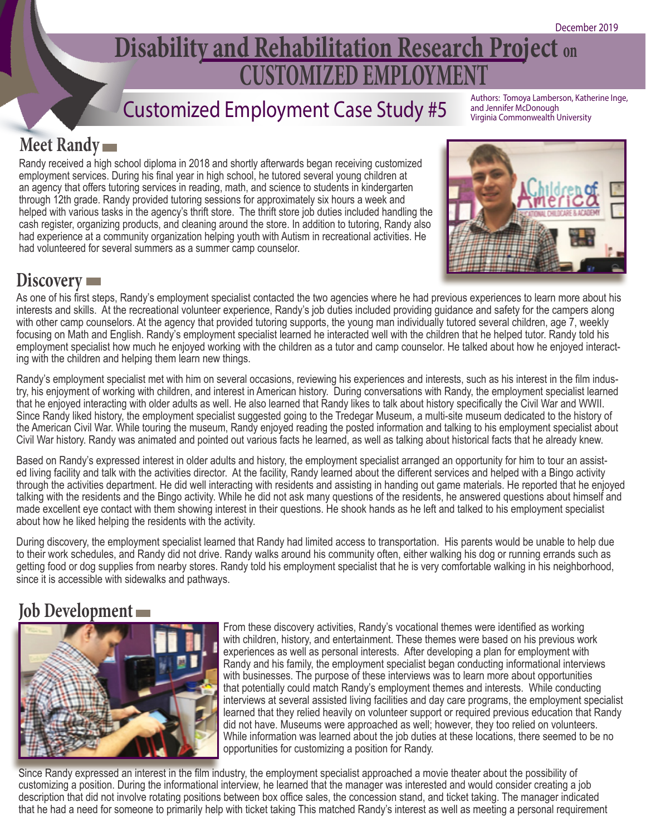## **CUSTOMIZED EMPLOYMENT Disability and Rehabilitation Research Project on**

# Customized Employment Case Study #5 Authors: Tomoya Lamberson, Katherine Inge,

and Jennifer McDonough Virginia Commonwealth University

### **Meet Randy**

Randy received a high school diploma in 2018 and shortly afterwards began receiving customized employment services. During his final year in high school, he tutored several young children at an agency that offers tutoring services in reading, math, and science to students in kindergarten through 12th grade. Randy provided tutoring sessions for approximately six hours a week and helped with various tasks in the agency's thrift store. The thrift store job duties included handling the cash register, organizing products, and cleaning around the store. In addition to tutoring, Randy also had experience at a community organization helping youth with Autism in recreational activities. He had volunteered for several summers as a summer camp counselor.



#### **Discovery**

As one of his first steps, Randy's employment specialist contacted the two agencies where he had previous experiences to learn more about his interests and skills. At the recreational volunteer experience, Randy's job duties included providing guidance and safety for the campers along with other camp counselors. At the agency that provided tutoring supports, the young man individually tutored several children, age 7, weekly focusing on Math and English. Randy's employment specialist learned he interacted well with the children that he helped tutor. Randy told his employment specialist how much he enjoyed working with the children as a tutor and camp counselor. He talked about how he enjoyed interacting with the children and helping them learn new things.

Randy's employment specialist met with him on several occasions, reviewing his experiences and interests, such as his interest in the film industry, his enjoyment of working with children, and interest in American history. During conversations with Randy, the employment specialist learned that he enjoyed interacting with older adults as well. He also learned that Randy likes to talk about history specifically the Civil War and WWII. Since Randy liked history, the employment specialist suggested going to the Tredegar Museum, a multi-site museum dedicated to the history of the American Civil War. While touring the museum, Randy enjoyed reading the posted information and talking to his employment specialist about Civil War history. Randy was animated and pointed out various facts he learned, as well as talking about historical facts that he already knew.

Based on Randy's expressed interest in older adults and history, the employment specialist arranged an opportunity for him to tour an assisted living facility and talk with the activities director. At the facility, Randy learned about the different services and helped with a Bingo activity through the activities department. He did well interacting with residents and assisting in handing out game materials. He reported that he enjoyed talking with the residents and the Bingo activity. While he did not ask many questions of the residents, he answered questions about himself and made excellent eye contact with them showing interest in their questions. He shook hands as he left and talked to his employment specialist about how he liked helping the residents with the activity.

During discovery, the employment specialist learned that Randy had limited access to transportation. His parents would be unable to help due to their work schedules, and Randy did not drive. Randy walks around his community often, either walking his dog or running errands such as getting food or dog supplies from nearby stores. Randy told his employment specialist that he is very comfortable walking in his neighborhood, since it is accessible with sidewalks and pathways.

#### **Job Development**



 From these discovery activities, Randy's vocational themes were identified as working with children, history, and entertainment. These themes were based on his previous work experiences as well as personal interests. After developing a plan for employment with Randy and his family, the employment specialist began conducting informational interviews with businesses. The purpose of these interviews was to learn more about opportunities that potentially could match Randy's employment themes and interests. While conducting interviews at several assisted living facilities and day care programs, the employment specialist learned that they relied heavily on volunteer support or required previous education that Randy did not have. Museums were approached as well; however, they too relied on volunteers. While information was learned about the job duties at these locations, there seemed to be no opportunities for customizing a position for Randy.

Since Randy expressed an interest in the film industry, the employment specialist approached a movie theater about the possibility of customizing a position. During the informational interview, he learned that the manager was interested and would consider creating a job description that did not involve rotating positions between box office sales, the concession stand, and ticket taking. The manager indicated that he had a need for someone to primarily help with ticket taking This matched Randy's interest as well as meeting a personal requirement